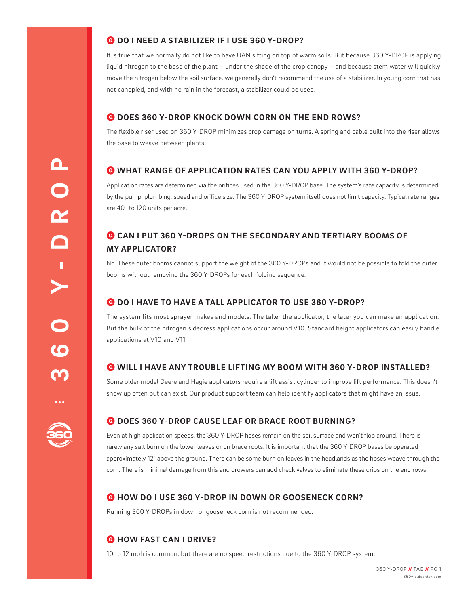## Q **DO I NEED A STABILIZER IF I USE 360 Y-DROP?**

It is true that we normally do not like to have UAN sitting on top of warm soils. But because 360 Y-DROP is applying liquid nitrogen to the base of the plant – under the shade of the crop canopy – and because stem water will quickly move the nitrogen below the soil surface, we generally don't recommend the use of a stabilizer. In young corn that has not canopied, and with no rain in the forecast, a stabilizer could be used.

## Q **DOES 360 Y-DROP KNOCK DOWN CORN ON THE END ROWS?**

The flexible riser used on 360 Y-DROP minimizes crop damage on turns. A spring and cable built into the riser allows the base to weave between plants.

## Q **WHAT RANGE OF APPLICATION RATES CAN YOU APPLY WITH 360 Y-DROP?**

Application rates are determined via the orifices used in the 360 Y-DROP base. The system's rate capacity is determined by the pump, plumbing, speed and orifice size. The 360 Y-DROP system itself does not limit capacity. Typical rate ranges are 40- to 120 units per acre.

# Q **CAN I PUT 360 Y-DROPS ON THE SECONDARY AND TERTIARY BOOMS OF MY APPLICATOR?**

No. These outer booms cannot support the weight of the 360 Y-DROPs and it would not be possible to fold the outer booms without removing the 360 Y-DROPs for each folding sequence.

## Q **DO I HAVE TO HAVE A TALL APPLICATOR TO USE 360 Y-DROP?**

The system fits most sprayer makes and models. The taller the applicator, the later you can make an application. But the bulk of the nitrogen sidedress applications occur around V10. Standard height applicators can easily handle applications at V10 and V11.

## Q **WILL I HAVE ANY TROUBLE LIFTING MY BOOM WITH 360 Y-DROP INSTALLED?**

Some older model Deere and Hagie applicators require a lift assist cylinder to improve lift performance. This doesn't show up often but can exist. Our product support team can help identify applicators that might have an issue.

## Q **DOES 360 Y-DROP CAUSE LEAF OR BRACE ROOT BURNING?**

Even at high application speeds, the 360 Y-DROP hoses remain on the soil surface and won't flop around. There is rarely any salt burn on the lower leaves or on brace roots. It is important that the 360 Y-DROP bases be operated approximately 12" above the ground. There can be some burn on leaves in the headlands as the hoses weave through the corn. There is minimal damage from this and growers can add check valves to eliminate these drips on the end rows.

## Q **HOW DO I USE 360 Y-DROP IN DOWN OR GOOSENECK CORN?**

Running 360 Y-DROPs in down or gooseneck corn is not recommended.

## Q **HOW FAST CAN I DRIVE?**

10 to 12 mph is common, but there are no speed restrictions due to the 360 Y-DROP system.